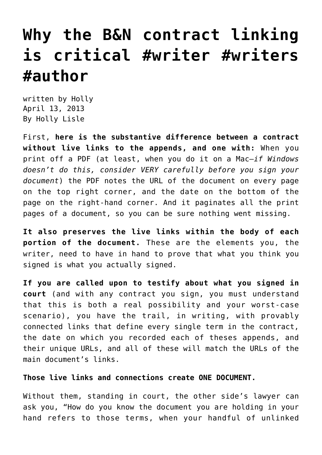# **[Why the B&N contract linking](https://hollylisle.com/follow-up-on-why-the-b-and-n-linking-is-critical/) [is critical #writer #writers](https://hollylisle.com/follow-up-on-why-the-b-and-n-linking-is-critical/) [#author](https://hollylisle.com/follow-up-on-why-the-b-and-n-linking-is-critical/)**

written by Holly April 13, 2013 [By Holly Lisle](https://hollylisle.com)

First, **here is the substantive difference between a contract without live links to the appends, and one with:** When you print off a PDF (at least, when you do it on a Mac—*if Windows doesn't do this, consider VERY carefully before you sign your document*) the PDF notes the URL of the document on every page on the top right corner, and the date on the bottom of the page on the right-hand corner. And it paginates all the print pages of a document, so you can be sure nothing went missing.

**It also preserves the live links within the body of each portion of the document.** These are the elements you, the writer, need to have in hand to prove that what you think you signed is what you actually signed.

**If you are called upon to testify about what you signed in court** (and with any contract you sign, you must understand that this is both a real possibility and your worst-case scenario), you have the trail, in writing, with provably connected links that define every single term in the contract, the date on which you recorded each of theses appends, and their unique URLs, and all of these will match the URLs of the main document's links.

#### **Those live links and connections create ONE DOCUMENT.**

Without them, standing in court, the other side's lawyer can ask you, "How do you know the document you are holding in your hand refers to those terms, when your handful of unlinked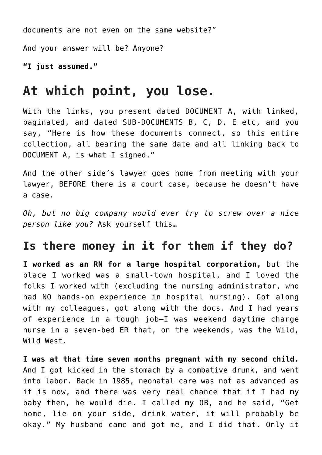documents are not even on the same website?"

And your answer will be? Anyone?

**"I just assumed."**

### **At which point, you lose.**

With the links, you present dated DOCUMENT A, with linked, paginated, and dated SUB-DOCUMENTS B, C, D, E etc, and you say, "Here is how these documents connect, so this entire collection, all bearing the same date and all linking back to DOCUMENT A, is what I signed."

And the other side's lawyer goes home from meeting with your lawyer, BEFORE there is a court case, because he doesn't have a case.

*Oh, but no big company would ever try to screw over a nice person like you?* Ask yourself this…

#### **Is there money in it for them if they do?**

**I worked as an RN for a large hospital corporation,** but the place I worked was a small-town hospital, and I loved the folks I worked with (excluding the nursing administrator, who had NO hands-on experience in hospital nursing). Got along with my colleagues, got along with the docs. And I had years of experience in a tough job—I was weekend daytime charge nurse in a seven-bed ER that, on the weekends, was the Wild, Wild West.

**I was at that time seven months pregnant with my second child.** And I got kicked in the stomach by a combative drunk, and went into labor. Back in 1985, neonatal care was not as advanced as it is now, and there was very real chance that if I had my baby then, he would die. I called my OB, and he said, "Get home, lie on your side, drink water, it will probably be okay." My husband came and got me, and I did that. Only it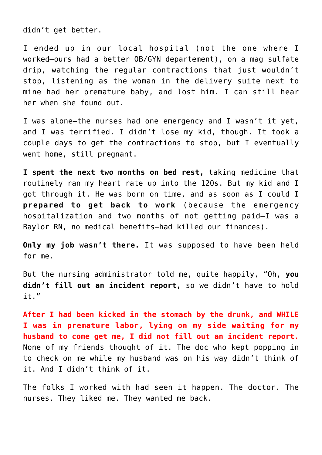didn't get better.

I ended up in our local hospital (not the one where I worked—ours had a better OB/GYN departement), on a mag sulfate drip, watching the regular contractions that just wouldn't stop, listening as the woman in the delivery suite next to mine had her premature baby, and lost him. I can still hear her when she found out.

I was alone—the nurses had one emergency and I wasn't it yet, and I was terrified. I didn't lose my kid, though. It took a couple days to get the contractions to stop, but I eventually went home, still pregnant.

**I spent the next two months on bed rest,** taking medicine that routinely ran my heart rate up into the 120s. But my kid and I got through it. He was born on time, and as soon as I could **I prepared to get back to work** (because the emergency hospitalization and two months of not getting paid—I was a Baylor RN, no medical benefits—had killed our finances).

**Only my job wasn't there.** It was supposed to have been held for me.

But the nursing administrator told me, quite happily, "Oh, **you didn't fill out an incident report,** so we didn't have to hold it."

**After I had been kicked in the stomach by the drunk, and WHILE I was in premature labor, lying on my side waiting for my husband to come get me, I did not fill out an incident report.** None of my friends thought of it. The doc who kept popping in to check on me while my husband was on his way didn't think of it. And I didn't think of it.

The folks I worked with had seen it happen. The doctor. The nurses. They liked me. They wanted me back.